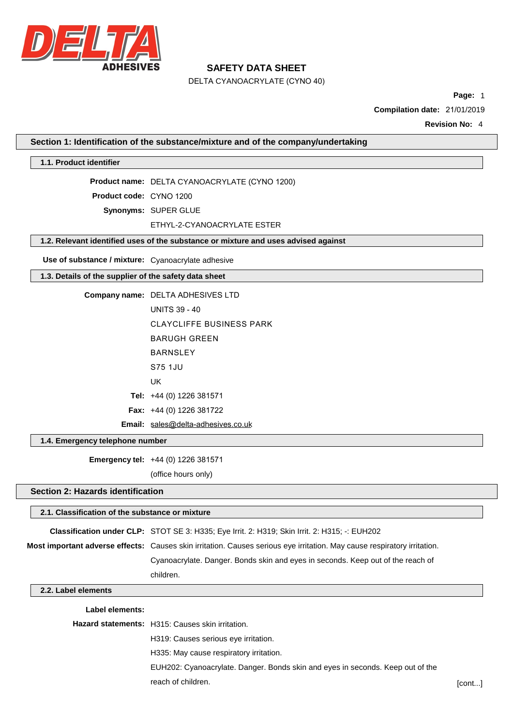

### **SAFETY DATA SHEET**

DELTA CYANOACRYLATE (CYNO 1200)

### **Section 1: Identification of the substance/mixture and of the company/undertaking**

### **1.1. Product identifier**

**Product name:** DELTA CYANOACRYLATE (CYNO 1200)

**Product code:** CYNO 1200

**Synonyms:** SUPER GLUE

#### ETHYL-2-CYANOACRYLATE ESTER

### **1.2. Relevant identified uses of the substance or mixture and uses advised against**

**Use of substance / mixture:** Cyanoacrylate adhesive

### **1.3. Details of the supplier of the safety data sheet**

| Company name: DELTA ADHESIVES LTD  |
|------------------------------------|
| <b>UNITS 39 - 40</b>               |
| CLAYCLIFFE BUSINESS PARK           |
| BARUGH GRFFN                       |
| <b>BARNSI FY</b>                   |
| S75 1.JU                           |
| UK                                 |
| <b>Tel:</b> $+44$ (0) 1226 381571  |
| <b>Fax:</b> $+44$ (0) 1226 381722  |
| Email: sales@delta-adhesives.co.uk |

#### **1.4. Emergency telephone number**

**Emergency tel:** +44 (0) 1226 381571

(office hours only)

### **Section 2: Hazards identification**

# **2.1. Classification of the substance or mixture Classification under CLP:** STOT SE 3: H335; Eye Irrit. 2: H319; Skin Irrit. 2: H315; -: EUH202 **Most important adverse effects:** Causes skin irritation. Causes serious eye irritation. May cause respiratory irritation. Cyanoacrylate. Danger. Bonds skin and eyes in seconds. Keep out of the reach of children.

### **2.2. Label elements**

#### **Label elements:**

| <b>Hazard statements:</b> H315: Causes skin irritation.                        |        |
|--------------------------------------------------------------------------------|--------|
| H319: Causes serious eye irritation.                                           |        |
| H335: May cause respiratory irritation.                                        |        |
| EUH202: Cyanoacrylate. Danger. Bonds skin and eyes in seconds. Keep out of the |        |
| reach of children.                                                             | [cont] |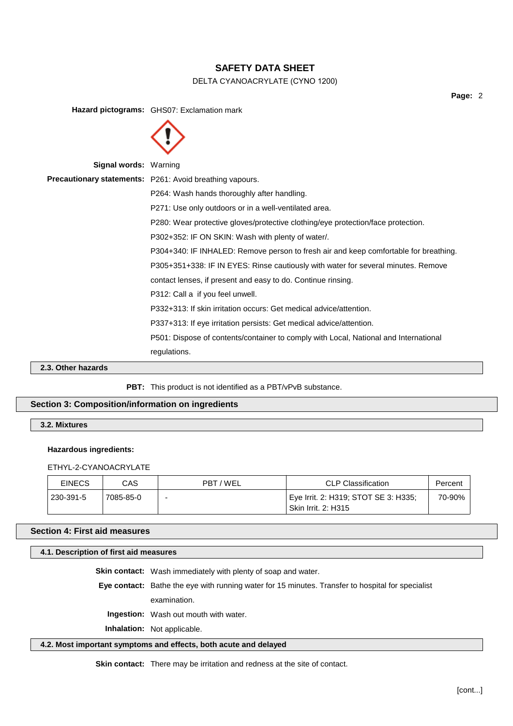

**Page:** 2

**Hazard pictograms:** GHS07: Exclamation mark **Signal words:** Warning **Precautionary statements:** P261: Avoid breathing vapours. P264: Wash hands thoroughly after handling. P271: Use only outdoors or in a well-ventilated area. P280: Wear protective gloves/protective clothing/eye protection/face protection. P302+352: IF ON SKIN: Wash with plenty of water/. P304+340: IF INHALED: Remove person to fresh air and keep comfortable for breathing. P305+351+338: IF IN EYES: Rinse cautiously with water for several minutes. Remove contact lenses, if present and easy to do. Continue rinsing. P312: Call a if you feel unwell. P332+313: If skin irritation occurs: Get medical advice/attention. P337+313: If eye irritation persists: Get medical advice/attention. P501: Dispose of contents/container to comply with Local, National and International regulations.

**2.3. Other hazards**

PBT: This product is not identified as a PBT/vPvB substance.

### **Section 3: Composition/information on ingredients**

**3.2. Mixtures**

#### **Hazardous ingredients:**

ETHYL-2-CYANOACRYLATE

| <b>EINECS</b> | CAS       | PBT/WEL | <b>CLP Classification</b>                                          | Percent |
|---------------|-----------|---------|--------------------------------------------------------------------|---------|
| 230-391-5     | 7085-85-0 | -       | Eye Irrit. 2: H319; STOT SE 3: H335;<br><b>Skin Irrit. 2: H315</b> | 70-90%  |

### **Section 4: First aid measures**

### **4.1. Description of first aid measures**

**Skin contact:** Wash immediately with plenty of soap and water.

**Eye contact:** Bathe the eye with running water for 15 minutes. Transfer to hospital for specialist

examination.

**Ingestion:** Wash out mouth with water.

**Inhalation:** Not applicable.

### **4.2. Most important symptoms and effects, both acute and delayed**

**Skin contact:** There may be irritation and redness at the site of contact.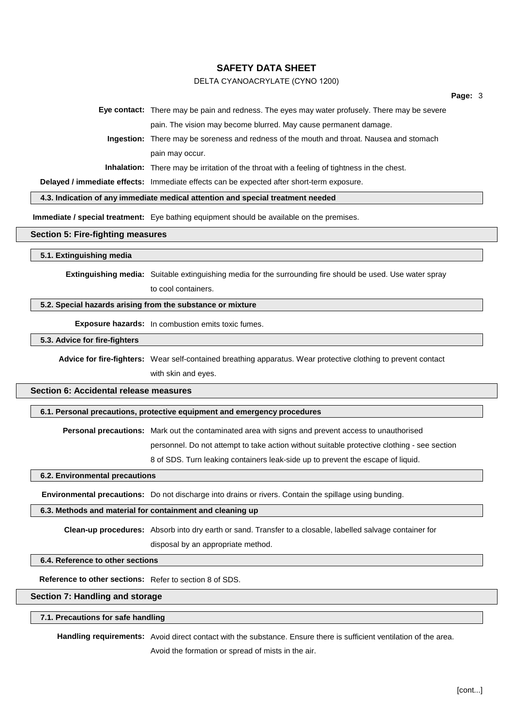

**Page:** 3

|  | Eye contact: There may be pain and redness. The eyes may water profusely. There may be severe      |
|--|----------------------------------------------------------------------------------------------------|
|  | pain. The vision may become blurred. May cause permanent damage.                                   |
|  | Ingestion: There may be soreness and redness of the mouth and throat. Nausea and stomach           |
|  | pain may occur.                                                                                    |
|  | <b>Inhalation:</b> There may be irritation of the throat with a feeling of tightness in the chest. |
|  |                                                                                                    |

**Delayed / immediate effects:** Immediate effects can be expected after short-term exposure.

**4.3. Indication of any immediate medical attention and special treatment needed**

**Immediate / special treatment:** Eye bathing equipment should be available on the premises.

#### **Section 5: Fire-fighting measures**

#### **5.1. Extinguishing media**

**Extinguishing media:** Suitable extinguishing media for the surrounding fire should be used. Use water spray to cool containers.

### **5.2. Special hazards arising from the substance or mixture**

**Exposure hazards:** In combustion emits toxic fumes.

### **5.3. Advice for fire-fighters**

**Advice for fire-fighters:** Wear self-contained breathing apparatus. Wear protective clothing to prevent contact with skin and eyes.

### **Section 6: Accidental release measures**

### **6.1. Personal precautions, protective equipment and emergency procedures**

**Personal precautions:** Mark out the contaminated area with signs and prevent access to unauthorised

personnel. Do not attempt to take action without suitable protective clothing - see section

8 of SDS. Turn leaking containers leak-side up to prevent the escape of liquid.

### **6.2. Environmental precautions**

**Environmental precautions:** Do not discharge into drains or rivers. Contain the spillage using bunding.

#### **6.3. Methods and material for containment and cleaning up**

**Clean-up procedures:** Absorb into dry earth or sand. Transfer to a closable, labelled salvage container for disposal by an appropriate method.

### **6.4. Reference to other sections**

**Reference to other sections:** Refer to section 8 of SDS.

### **Section 7: Handling and storage**

### **7.1. Precautions for safe handling**

**Handling requirements:** Avoid direct contact with the substance. Ensure there is sufficient ventilation of the area. Avoid the formation or spread of mists in the air.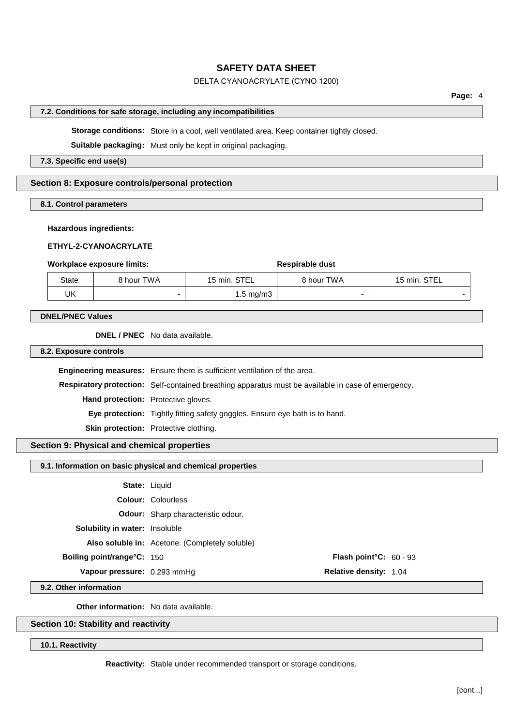

#### **Page:** 4

#### **7.2. Conditions for safe storage, including any incompatibilities**

**Storage conditions:** Store in a cool, well ventilated area. Keep container tightly closed.

**Suitable packaging:** Must only be kept in original packaging.

#### **7.3. Specific end use(s)**

### **Section 8: Exposure controls/personal protection**

**8.1. Control parameters**

#### **Hazardous ingredients:**

#### **ETHYL-2-CYANOACRYLATE**

#### **Workplace exposure limits:**  $\qquad \qquad$  **Respirable** dust

| State | 8 hour TWA | 15 min. STEL         | <b>8 hour TWA</b> | 15 min. STEL |
|-------|------------|----------------------|-------------------|--------------|
| UK    | -          | $1.5 \text{ mg/m}$ 3 |                   |              |

#### **DNEL/PNEC Values**

**DNEL / PNEC** No data available.

**8.2. Exposure controls**

**Engineering measures:** Ensure there is sufficient ventilation of the area. **Respiratory protection:** Self-contained breathing apparatus must be available in case of emergency. **Hand protection:** Protective gloves. **Eye protection:** Tightly fitting safety goggles. Ensure eye bath is to hand. **Skin protection:** Protective clothing.

### **Section 9: Physical and chemical properties**

### **9.1. Information on basic physical and chemical properties**

| <b>Flash point °C:</b> $60 - 93$ |
|----------------------------------|

**9.2. Other information**

**Other information:** No data available.

### **Section 10: Stability and reactivity**

**10.1. Reactivity**

**Reactivity:** Stable under recommended transport or storage conditions.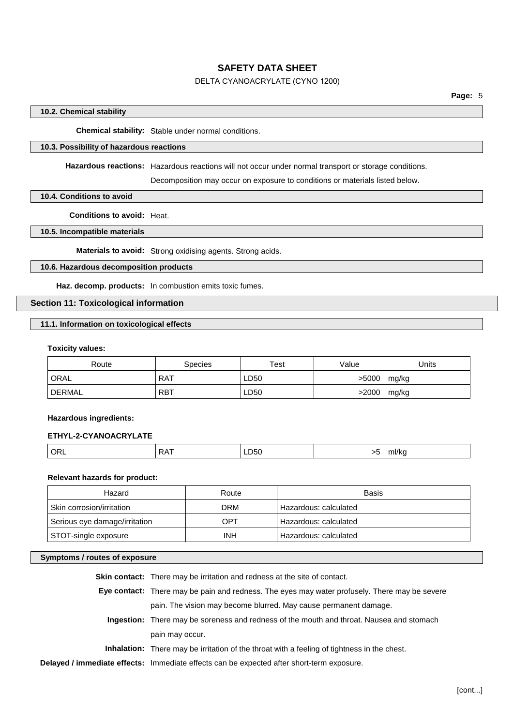

**Page:** 5

### **10.2. Chemical stability**

**Chemical stability:** Stable under normal conditions.

### **10.3. Possibility of hazardous reactions**

**Hazardous reactions:** Hazardous reactions will not occur under normal transport or storage conditions.

Decomposition may occur on exposure to conditions or materials listed below.

### **10.4. Conditions to avoid**

**Conditions to avoid:** Heat.

### **10.5. Incompatible materials**

**Materials to avoid:** Strong oxidising agents. Strong acids.

### **10.6. Hazardous decomposition products**

**Haz. decomp. products:** In combustion emits toxic fumes.

### **Section 11: Toxicological information**

### **11.1. Information on toxicological effects**

#### **Toxicity values:**

| Route  | Species    | Test | Value | Units |
|--------|------------|------|-------|-------|
| ORAL   | <b>RAT</b> | LD50 | >5000 | mg/kg |
| DERMAL | <b>RBT</b> | LD50 | >2000 | mg/kg |

#### **Hazardous ingredients:**

### **ETHYL-2-CYANOACRYLATE**

|  |  | ∼<br> | LD50 | $\sim$ | <b>THIRE</b> |
|--|--|-------|------|--------|--------------|
|--|--|-------|------|--------|--------------|

### **Relevant hazards for product:**

| Hazard                        | Route      | Basis                 |
|-------------------------------|------------|-----------------------|
| Skin corrosion/irritation     | <b>DRM</b> | Hazardous: calculated |
| Serious eye damage/irritation | OPT        | Hazardous: calculated |
| STOT-single exposure          | <b>INH</b> | Hazardous: calculated |

### **Symptoms / routes of exposure**

| <b>Skin contact:</b> There may be irritation and redness at the site of contact.                   |
|----------------------------------------------------------------------------------------------------|
| Eye contact: There may be pain and redness. The eyes may water profusely. There may be severe      |
| pain. The vision may become blurred. May cause permanent damage.                                   |
| Ingestion: There may be soreness and redness of the mouth and throat. Nausea and stomach           |
| pain may occur.                                                                                    |
| <b>Inhalation:</b> There may be irritation of the throat with a feeling of tightness in the chest. |
| Delayed / immediate effects: Immediate effects can be expected after short-term exposure.          |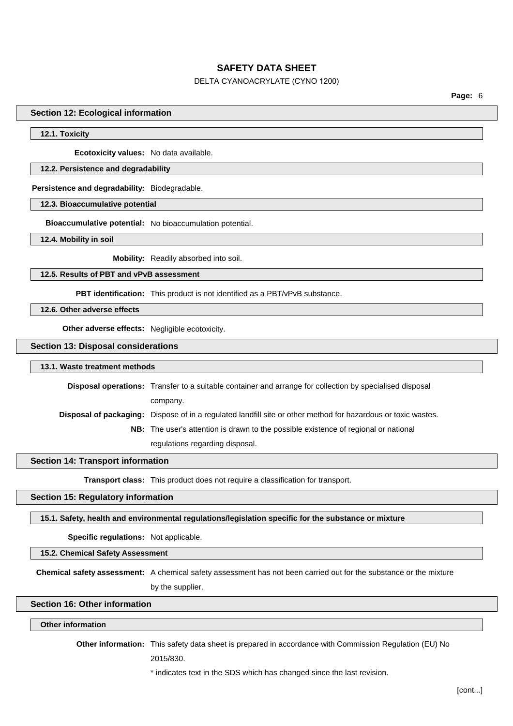

**Page:** 6

#### **Section 12: Ecological information**

#### **12.1. Toxicity**

**Ecotoxicity values:** No data available.

### **12.2. Persistence and degradability**

#### **Persistence and degradability:** Biodegradable.

**12.3. Bioaccumulative potential**

**Bioaccumulative potential:** No bioaccumulation potential.

**12.4. Mobility in soil**

**Mobility:** Readily absorbed into soil.

### **12.5. Results of PBT and vPvB assessment**

**PBT identification:** This product is not identified as a PBT/vPvB substance.

**12.6. Other adverse effects**

**Other adverse effects:** Negligible ecotoxicity.

### **Section 13: Disposal considerations**

#### **13.1. Waste treatment methods**

**Disposal operations:** Transfer to a suitable container and arrange for collection by specialised disposal company. **Disposal of packaging:** Dispose of in a regulated landfill site or other method for hazardous or toxic wastes. **NB:** The user's attention is drawn to the possible existence of regional or national

regulations regarding disposal.

### **Section 14: Transport information**

**Transport class:** This product does not require a classification for transport.

### **Section 15: Regulatory information**

### **15.1. Safety, health and environmental regulations/legislation specific for the substance or mixture**

**Specific regulations:** Not applicable.

#### **15.2. Chemical Safety Assessment**

**Chemical safety assessment:** A chemical safety assessment has not been carried out for the substance or the mixture by the supplier.

### **Section 16: Other information**

### **Other information**

**Other information:** This safety data sheet is prepared in accordance with Commission Regulation (EU) No

2015/830.

#### \* indicates text in the SDS which has changed since the last revision.